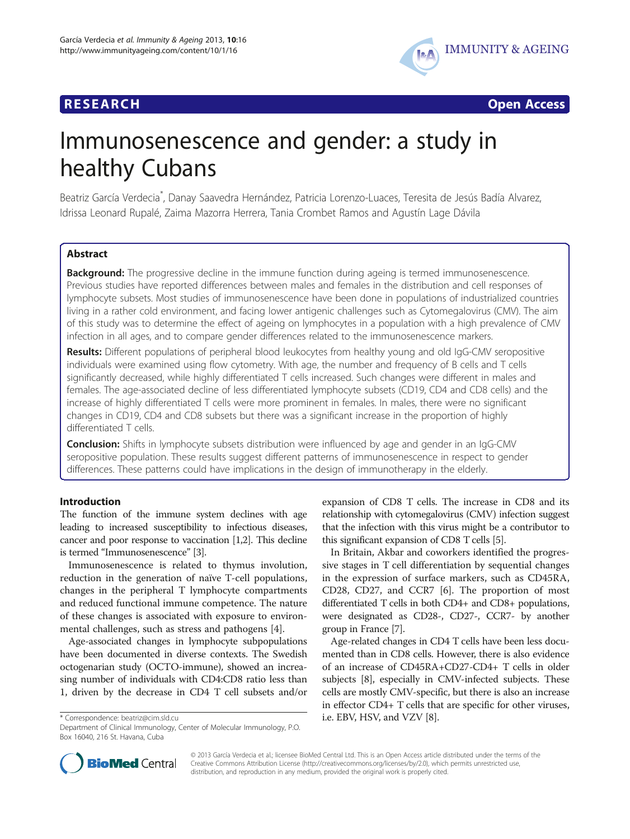## **RESEARCH CHEAR CHEAR CHEAR CHEAR CHEAR CHEAR CHEAR CHEAR CHEAR CHEAR CHEAR CHEAR CHEAR CHEAR CHEAR CHEAR CHEAR**



# Immunosenescence and gender: a study in healthy Cubans

Beatriz García Verdecia<sup>\*</sup>, Danay Saavedra Hernández, Patricia Lorenzo-Luaces, Teresita de Jesús Badía Alvarez, Idrissa Leonard Rupalé, Zaima Mazorra Herrera, Tania Crombet Ramos and Agustín Lage Dávila

## Abstract

Background: The progressive decline in the immune function during ageing is termed immunosenescence. Previous studies have reported differences between males and females in the distribution and cell responses of lymphocyte subsets. Most studies of immunosenescence have been done in populations of industrialized countries living in a rather cold environment, and facing lower antigenic challenges such as Cytomegalovirus (CMV). The aim of this study was to determine the effect of ageing on lymphocytes in a population with a high prevalence of CMV infection in all ages, and to compare gender differences related to the immunosenescence markers.

**Results:** Different populations of peripheral blood leukocytes from healthy young and old IgG-CMV seropositive individuals were examined using flow cytometry. With age, the number and frequency of B cells and T cells significantly decreased, while highly differentiated T cells increased. Such changes were different in males and females. The age-associated decline of less differentiated lymphocyte subsets (CD19, CD4 and CD8 cells) and the increase of highly differentiated T cells were more prominent in females. In males, there were no significant changes in CD19, CD4 and CD8 subsets but there was a significant increase in the proportion of highly differentiated T cells.

**Conclusion:** Shifts in lymphocyte subsets distribution were influenced by age and gender in an IgG-CMV seropositive population. These results suggest different patterns of immunosenescence in respect to gender differences. These patterns could have implications in the design of immunotherapy in the elderly.

## Introduction

The function of the immune system declines with age leading to increased susceptibility to infectious diseases, cancer and poor response to vaccination [[1,2](#page-6-0)]. This decline is termed "Immunosenescence" [\[3](#page-6-0)].

Immunosenescence is related to thymus involution, reduction in the generation of naïve T-cell populations, changes in the peripheral T lymphocyte compartments and reduced functional immune competence. The nature of these changes is associated with exposure to environmental challenges, such as stress and pathogens [\[4\]](#page-6-0).

Age-associated changes in lymphocyte subpopulations have been documented in diverse contexts. The Swedish octogenarian study (OCTO-immune), showed an increasing number of individuals with CD4:CD8 ratio less than 1, driven by the decrease in CD4 T cell subsets and/or

expansion of CD8 T cells. The increase in CD8 and its relationship with cytomegalovirus (CMV) infection suggest that the infection with this virus might be a contributor to this significant expansion of CD8 T cells [[5\]](#page-6-0).

In Britain, Akbar and coworkers identified the progressive stages in T cell differentiation by sequential changes in the expression of surface markers, such as CD45RA, CD28, CD27, and CCR7 [\[6](#page-6-0)]. The proportion of most differentiated T cells in both CD4+ and CD8+ populations, were designated as CD28-, CD27-, CCR7- by another group in France [\[7\]](#page-6-0).

Age-related changes in CD4 T cells have been less documented than in CD8 cells. However, there is also evidence of an increase of CD45RA+CD27-CD4+ T cells in older subjects [\[8](#page-6-0)], especially in CMV-infected subjects. These cells are mostly CMV-specific, but there is also an increase in effector CD4+ T cells that are specific for other viruses, \* Correspondence: [beatriz@cim.sld.cu](mailto:beatriz@cim.sld.cu) i.e. EBV, HSV, and VZV [\[8](#page-6-0)].



© 2013 García Verdecia et al.; licensee BioMed Central Ltd. This is an Open Access article distributed under the terms of the Creative Commons Attribution License (<http://creativecommons.org/licenses/by/2.0>), which permits unrestricted use, distribution, and reproduction in any medium, provided the original work is properly cited.

Department of Clinical Immunology, Center of Molecular Immunology, P.O. Box 16040, 216 St. Havana, Cuba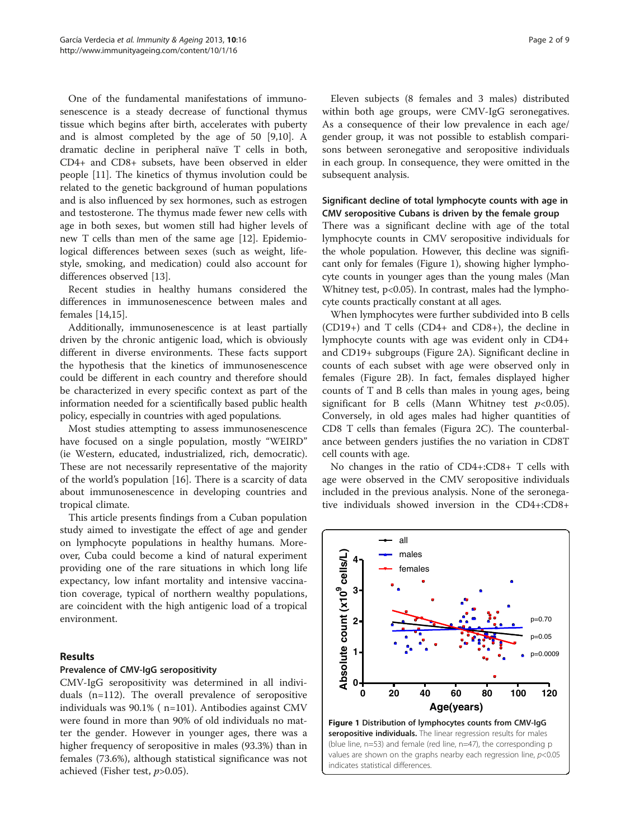One of the fundamental manifestations of immunosenescence is a steady decrease of functional thymus tissue which begins after birth, accelerates with puberty and is almost completed by the age of 50 [[9,10\]](#page-6-0). A dramatic decline in peripheral naïve T cells in both, CD4+ and CD8+ subsets, have been observed in elder people [\[11](#page-6-0)]. The kinetics of thymus involution could be related to the genetic background of human populations and is also influenced by sex hormones, such as estrogen and testosterone. The thymus made fewer new cells with age in both sexes, but women still had higher levels of new T cells than men of the same age [[12\]](#page-6-0). Epidemiological differences between sexes (such as weight, lifestyle, smoking, and medication) could also account for differences observed [\[13](#page-6-0)].

Recent studies in healthy humans considered the differences in immunosenescence between males and females [\[14](#page-6-0)[,15](#page-7-0)].

Additionally, immunosenescence is at least partially driven by the chronic antigenic load, which is obviously different in diverse environments. These facts support the hypothesis that the kinetics of immunosenescence could be different in each country and therefore should be characterized in every specific context as part of the information needed for a scientifically based public health policy, especially in countries with aged populations.

Most studies attempting to assess immunosenescence have focused on a single population, mostly "WEIRD" (ie Western, educated, industrialized, rich, democratic). These are not necessarily representative of the majority of the world's population [[16\]](#page-7-0). There is a scarcity of data about immunosenescence in developing countries and tropical climate.

This article presents findings from a Cuban population study aimed to investigate the effect of age and gender on lymphocyte populations in healthy humans. Moreover, Cuba could become a kind of natural experiment providing one of the rare situations in which long life expectancy, low infant mortality and intensive vaccination coverage, typical of northern wealthy populations, are coincident with the high antigenic load of a tropical environment.

### Results

## Prevalence of CMV-IgG seropositivity

CMV-IgG seropositivity was determined in all individuals (n=112). The overall prevalence of seropositive individuals was 90.1% ( n=101). Antibodies against CMV were found in more than 90% of old individuals no matter the gender. However in younger ages, there was a higher frequency of seropositive in males (93.3%) than in females (73.6%), although statistical significance was not achieved (Fisher test,  $p > 0.05$ ).

Eleven subjects (8 females and 3 males) distributed within both age groups, were CMV-IgG seronegatives. As a consequence of their low prevalence in each age/ gender group, it was not possible to establish comparisons between seronegative and seropositive individuals in each group. In consequence, they were omitted in the subsequent analysis.

#### Significant decline of total lymphocyte counts with age in CMV seropositive Cubans is driven by the female group

There was a significant decline with age of the total lymphocyte counts in CMV seropositive individuals for the whole population. However, this decline was significant only for females (Figure 1), showing higher lymphocyte counts in younger ages than the young males (Man Whitney test, p<0.05). In contrast, males had the lymphocyte counts practically constant at all ages.

When lymphocytes were further subdivided into B cells (CD19+) and T cells (CD4+ and CD8+), the decline in lymphocyte counts with age was evident only in CD4+ and CD19+ subgroups (Figure [2](#page-2-0)A). Significant decline in counts of each subset with age were observed only in females (Figure [2](#page-2-0)B). In fact, females displayed higher counts of T and B cells than males in young ages, being significant for B cells (Mann Whitney test  $p$ <0.05). Conversely, in old ages males had higher quantities of CD8 T cells than females (Figura [2C](#page-2-0)). The counterbalance between genders justifies the no variation in CD8T cell counts with age.

No changes in the ratio of CD4+:CD8+ T cells with age were observed in the CMV seropositive individuals included in the previous analysis. None of the seronegative individuals showed inversion in the CD4+:CD8+

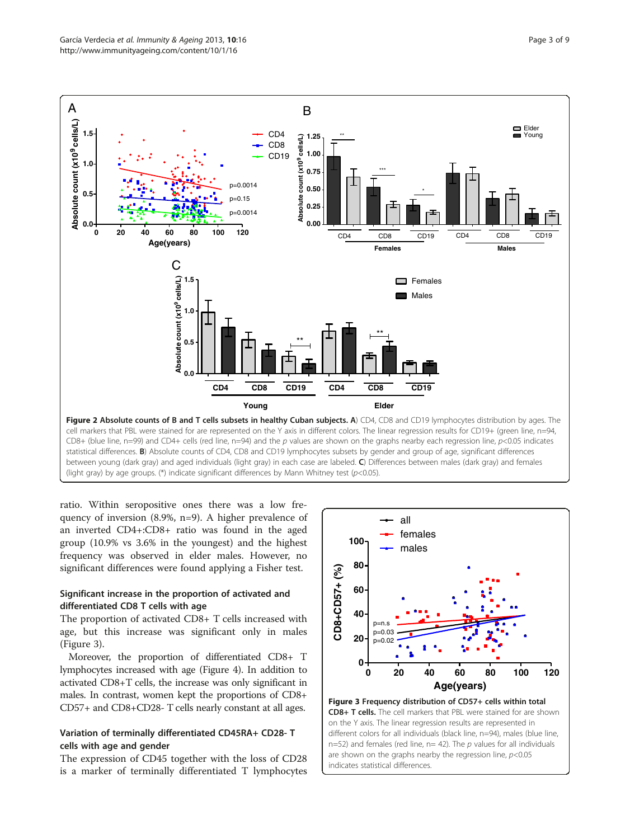<span id="page-2-0"></span>

between young (dark gray) and aged individuals (light gray) in each case are labeled. C) Differences between males (dark gray) and females (light gray) by age groups. (\*) indicate significant differences by Mann Whitney test ( $p$ <0.05).

ratio. Within seropositive ones there was a low frequency of inversion (8.9%, n=9). A higher prevalence of an inverted CD4+:CD8+ ratio was found in the aged group (10.9% vs 3.6% in the youngest) and the highest frequency was observed in elder males. However, no significant differences were found applying a Fisher test.

## Significant increase in the proportion of activated and differentiated CD8 T cells with age

The proportion of activated CD8+ T cells increased with age, but this increase was significant only in males (Figure 3).

Moreover, the proportion of differentiated CD8+ T lymphocytes increased with age (Figure [4](#page-3-0)). In addition to activated CD8+T cells, the increase was only significant in males. In contrast, women kept the proportions of CD8+ CD57+ and CD8+CD28- T cells nearly constant at all ages.

## Variation of terminally differentiated CD45RA+ CD28- T cells with age and gender

The expression of CD45 together with the loss of CD28 is a marker of terminally differentiated T lymphocytes

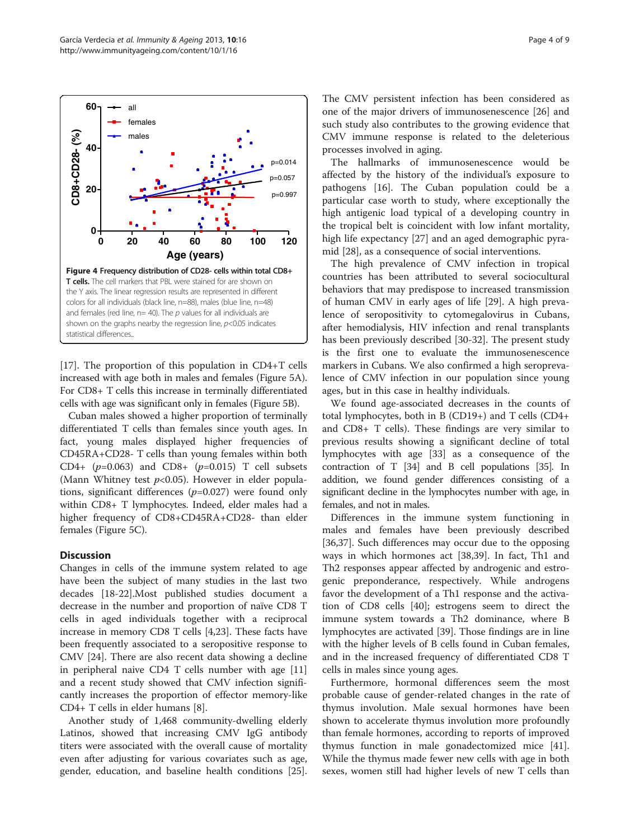<span id="page-3-0"></span>

[[17\]](#page-7-0). The proportion of this population in CD4+T cells increased with age both in males and females (Figure [5](#page-4-0)A). For CD8+ T cells this increase in terminally differentiated cells with age was significant only in females (Figure [5](#page-4-0)B).

Cuban males showed a higher proportion of terminally differentiated T cells than females since youth ages. In fact, young males displayed higher frequencies of CD45RA+CD28- T cells than young females within both CD4+  $(p=0.063)$  and CD8+  $(p=0.015)$  T cell subsets (Mann Whitney test  $p<0.05$ ). However in elder populations, significant differences  $(p=0.027)$  were found only within CD8+ T lymphocytes. Indeed, elder males had a higher frequency of CD8+CD45RA+CD28- than elder females (Figure [5C](#page-4-0)).

#### **Discussion**

Changes in cells of the immune system related to age have been the subject of many studies in the last two decades [[18-22](#page-7-0)].Most published studies document a decrease in the number and proportion of naïve CD8 T cells in aged individuals together with a reciprocal increase in memory CD8 T cells [[4,](#page-6-0)[23\]](#page-7-0). These facts have been frequently associated to a seropositive response to CMV [[24\]](#page-7-0). There are also recent data showing a decline in peripheral naive CD4 T cells number with age [[11](#page-6-0)] and a recent study showed that CMV infection significantly increases the proportion of effector memory-like CD4+ T cells in elder humans [[8\]](#page-6-0).

Another study of 1,468 community-dwelling elderly Latinos, showed that increasing CMV IgG antibody titers were associated with the overall cause of mortality even after adjusting for various covariates such as age, gender, education, and baseline health conditions [\[25](#page-7-0)].

The CMV persistent infection has been considered as one of the major drivers of immunosenescence [\[26\]](#page-7-0) and such study also contributes to the growing evidence that CMV immune response is related to the deleterious processes involved in aging.

The hallmarks of immunosenescence would be affected by the history of the individual's exposure to pathogens [[16](#page-7-0)]. The Cuban population could be a particular case worth to study, where exceptionally the high antigenic load typical of a developing country in the tropical belt is coincident with low infant mortality, high life expectancy [\[27](#page-7-0)] and an aged demographic pyramid [[28\]](#page-7-0), as a consequence of social interventions.

The high prevalence of CMV infection in tropical countries has been attributed to several sociocultural behaviors that may predispose to increased transmission of human CMV in early ages of life [[29\]](#page-7-0). A high prevalence of seropositivity to cytomegalovirus in Cubans, after hemodialysis, HIV infection and renal transplants has been previously described [\[30-32](#page-7-0)]. The present study is the first one to evaluate the immunosenescence markers in Cubans. We also confirmed a high seroprevalence of CMV infection in our population since young ages, but in this case in healthy individuals.

We found age-associated decreases in the counts of total lymphocytes, both in B (CD19+) and T cells (CD4+ and CD8+ T cells). These findings are very similar to previous results showing a significant decline of total lymphocytes with age [[33\]](#page-7-0) as a consequence of the contraction of T [[34](#page-7-0)] and B cell populations [[35](#page-7-0)]. In addition, we found gender differences consisting of a significant decline in the lymphocytes number with age, in females, and not in males.

Differences in the immune system functioning in males and females have been previously described [[36,37\]](#page-7-0). Such differences may occur due to the opposing ways in which hormones act [[38,39\]](#page-7-0). In fact, Th1 and Th2 responses appear affected by androgenic and estrogenic preponderance, respectively. While androgens favor the development of a Th1 response and the activation of CD8 cells [\[40](#page-7-0)]; estrogens seem to direct the immune system towards a Th2 dominance, where B lymphocytes are activated [\[39\]](#page-7-0). Those findings are in line with the higher levels of B cells found in Cuban females, and in the increased frequency of differentiated CD8 T cells in males since young ages.

Furthermore, hormonal differences seem the most probable cause of gender-related changes in the rate of thymus involution. Male sexual hormones have been shown to accelerate thymus involution more profoundly than female hormones, according to reports of improved thymus function in male gonadectomized mice [\[41](#page-7-0)]. While the thymus made fewer new cells with age in both sexes, women still had higher levels of new T cells than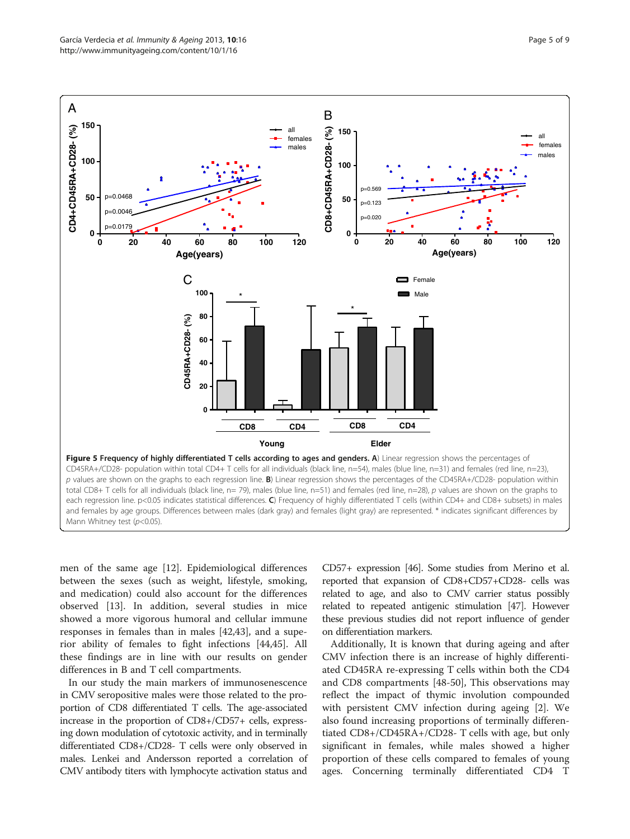<span id="page-4-0"></span>

men of the same age [[12\]](#page-6-0). Epidemiological differences between the sexes (such as weight, lifestyle, smoking, and medication) could also account for the differences observed [[13](#page-6-0)]. In addition, several studies in mice showed a more vigorous humoral and cellular immune responses in females than in males [\[42,43](#page-7-0)], and a superior ability of females to fight infections [[44](#page-7-0),[45](#page-7-0)]. All these findings are in line with our results on gender differences in B and T cell compartments.

In our study the main markers of immunosenescence in CMV seropositive males were those related to the proportion of CD8 differentiated T cells. The age-associated increase in the proportion of CD8+/CD57+ cells, expressing down modulation of cytotoxic activity, and in terminally differentiated CD8+/CD28- T cells were only observed in males. Lenkei and Andersson reported a correlation of CMV antibody titers with lymphocyte activation status and CD57+ expression [[46](#page-7-0)]. Some studies from Merino et al. reported that expansion of CD8+CD57+CD28- cells was related to age, and also to CMV carrier status possibly related to repeated antigenic stimulation [\[47\]](#page-7-0). However these previous studies did not report influence of gender on differentiation markers.

Additionally, It is known that during ageing and after CMV infection there is an increase of highly differentiated CD45RA re-expressing T cells within both the CD4 and CD8 compartments [\[48](#page-7-0)-[50\]](#page-7-0), This observations may reflect the impact of thymic involution compounded with persistent CMV infection during ageing [[2\]](#page-6-0). We also found increasing proportions of terminally differentiated CD8+/CD45RA+/CD28- T cells with age, but only significant in females, while males showed a higher proportion of these cells compared to females of young ages. Concerning terminally differentiated CD4 T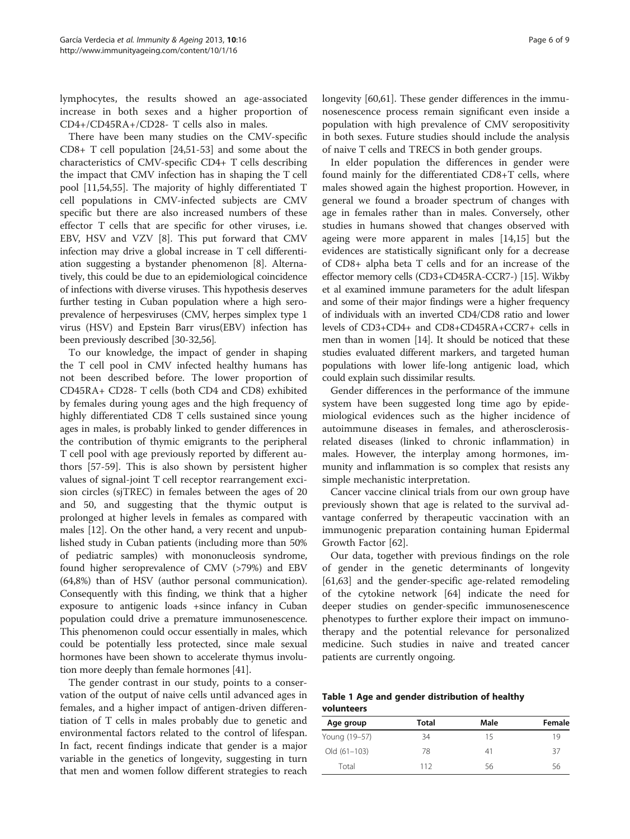<span id="page-5-0"></span>lymphocytes, the results showed an age-associated increase in both sexes and a higher proportion of CD4+/CD45RA+/CD28- T cells also in males.

There have been many studies on the CMV-specific CD8+ T cell population [[24,51-53\]](#page-7-0) and some about the characteristics of CMV-specific CD4+ T cells describing the impact that CMV infection has in shaping the T cell pool [\[11,](#page-6-0)[54,55\]](#page-7-0). The majority of highly differentiated T cell populations in CMV-infected subjects are CMV specific but there are also increased numbers of these effector T cells that are specific for other viruses, i.e. EBV, HSV and VZV [[8\]](#page-6-0). This put forward that CMV infection may drive a global increase in T cell differentiation suggesting a bystander phenomenon [\[8](#page-6-0)]. Alternatively, this could be due to an epidemiological coincidence of infections with diverse viruses. This hypothesis deserves further testing in Cuban population where a high seroprevalence of herpesviruses (CMV, herpes simplex type 1 virus (HSV) and Epstein Barr virus(EBV) infection has been previously described [\[30-32,56\]](#page-7-0).

To our knowledge, the impact of gender in shaping the T cell pool in CMV infected healthy humans has not been described before. The lower proportion of CD45RA+ CD28- T cells (both CD4 and CD8) exhibited by females during young ages and the high frequency of highly differentiated CD8 T cells sustained since young ages in males, is probably linked to gender differences in the contribution of thymic emigrants to the peripheral T cell pool with age previously reported by different authors [[57-](#page-7-0)[59\]](#page-8-0). This is also shown by persistent higher values of signal-joint T cell receptor rearrangement excision circles (sjTREC) in females between the ages of 20 and 50, and suggesting that the thymic output is prolonged at higher levels in females as compared with males [\[12\]](#page-6-0). On the other hand, a very recent and unpublished study in Cuban patients (including more than 50% of pediatric samples) with mononucleosis syndrome, found higher seroprevalence of CMV (>79%) and EBV (64,8%) than of HSV (author personal communication). Consequently with this finding, we think that a higher exposure to antigenic loads +since infancy in Cuban population could drive a premature immunosenescence. This phenomenon could occur essentially in males, which could be potentially less protected, since male sexual hormones have been shown to accelerate thymus involution more deeply than female hormones [[41](#page-7-0)].

The gender contrast in our study, points to a conservation of the output of naive cells until advanced ages in females, and a higher impact of antigen-driven differentiation of T cells in males probably due to genetic and environmental factors related to the control of lifespan. In fact, recent findings indicate that gender is a major variable in the genetics of longevity, suggesting in turn that men and women follow different strategies to reach longevity [[60,61\]](#page-8-0). These gender differences in the immunosenescence process remain significant even inside a population with high prevalence of CMV seropositivity in both sexes. Future studies should include the analysis of naive T cells and TRECS in both gender groups.

In elder population the differences in gender were found mainly for the differentiated CD8+T cells, where males showed again the highest proportion. However, in general we found a broader spectrum of changes with age in females rather than in males. Conversely, other studies in humans showed that changes observed with ageing were more apparent in males [[14,](#page-6-0)[15\]](#page-7-0) but the evidences are statistically significant only for a decrease of CD8+ alpha beta T cells and for an increase of the effector memory cells (CD3+CD45RA-CCR7-) [\[15\]](#page-7-0). Wikby et al examined immune parameters for the adult lifespan and some of their major findings were a higher frequency of individuals with an inverted CD4/CD8 ratio and lower levels of CD3+CD4+ and CD8+CD45RA+CCR7+ cells in men than in women [[14](#page-6-0)]. It should be noticed that these studies evaluated different markers, and targeted human populations with lower life-long antigenic load, which could explain such dissimilar results.

Gender differences in the performance of the immune system have been suggested long time ago by epidemiological evidences such as the higher incidence of autoimmune diseases in females, and atherosclerosisrelated diseases (linked to chronic inflammation) in males. However, the interplay among hormones, immunity and inflammation is so complex that resists any simple mechanistic interpretation.

Cancer vaccine clinical trials from our own group have previously shown that age is related to the survival advantage conferred by therapeutic vaccination with an immunogenic preparation containing human Epidermal Growth Factor [[62\]](#page-8-0).

Our data, together with previous findings on the role of gender in the genetic determinants of longevity [[61,63\]](#page-8-0) and the gender-specific age-related remodeling of the cytokine network [\[64\]](#page-8-0) indicate the need for deeper studies on gender-specific immunosenescence phenotypes to further explore their impact on immunotherapy and the potential relevance for personalized medicine. Such studies in naive and treated cancer patients are currently ongoing.

Table 1 Age and gender distribution of healthy volunteers

| Age group     | <b>Total</b> | Male | Female |
|---------------|--------------|------|--------|
| Young (19–57) | 34           | 15   | 19     |
| Old (61-103)  | 78           | 41   | 37     |
| Total         | 112          | 56   | 56     |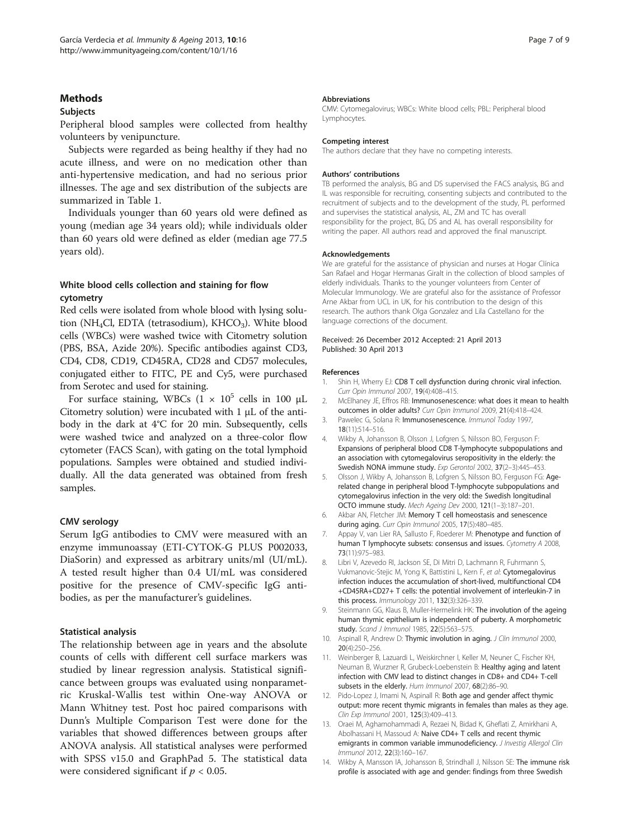#### <span id="page-6-0"></span>**Methods**

#### Subjects

Peripheral blood samples were collected from healthy volunteers by venipuncture.

Subjects were regarded as being healthy if they had no acute illness, and were on no medication other than anti-hypertensive medication, and had no serious prior illnesses. The age and sex distribution of the subjects are summarized in Table [1](#page-5-0).

Individuals younger than 60 years old were defined as young (median age 34 years old); while individuals older than 60 years old were defined as elder (median age 77.5 years old).

## White blood cells collection and staining for flow cytometry

Red cells were isolated from whole blood with lysing solution (NH<sub>4</sub>Cl, EDTA (tetrasodium), KHCO<sub>3</sub>). White blood cells (WBCs) were washed twice with Citometry solution (PBS, BSA, Azide 20%). Specific antibodies against CD3, CD4, CD8, CD19, CD45RA, CD28 and CD57 molecules, conjugated either to FITC, PE and Cy5, were purchased from Serotec and used for staining.

For surface staining, WBCs  $(1 \times 10^5 \text{ cells in } 100 \text{ }\mu\text{L})$ Citometry solution) were incubated with 1 μL of the antibody in the dark at 4°C for 20 min. Subsequently, cells were washed twice and analyzed on a three-color flow cytometer (FACS Scan), with gating on the total lymphoid populations. Samples were obtained and studied individually. All the data generated was obtained from fresh samples.

#### CMV serology

Serum IgG antibodies to CMV were measured with an enzyme immunoassay (ETI-CYTOK-G PLUS P002033, DiaSorin) and expressed as arbitrary units/ml (UI/mL). A tested result higher than 0.4 UI/mL was considered positive for the presence of CMV-specific IgG antibodies, as per the manufacturer's guidelines.

#### Statistical analysis

The relationship between age in years and the absolute counts of cells with different cell surface markers was studied by linear regression analysis. Statistical significance between groups was evaluated using nonparametric Kruskal-Wallis test within One-way ANOVA or Mann Whitney test. Post hoc paired comparisons with Dunn's Multiple Comparison Test were done for the variables that showed differences between groups after ANOVA analysis. All statistical analyses were performed with SPSS v15.0 and GraphPad 5. The statistical data were considered significant if  $p < 0.05$ .

#### Abbreviations

CMV: Cytomegalovirus; WBCs: White blood cells; PBL: Peripheral blood Lymphocytes.

#### Competing interest

The authors declare that they have no competing interests.

#### Authors' contributions

TB performed the analysis, BG and DS supervised the FACS analysis, BG and IL was responsible for recruiting, consenting subjects and contributed to the recruitment of subjects and to the development of the study, PL performed and supervises the statistical analysis, AL, ZM and TC has overall responsibility for the project, BG, DS and AL has overall responsibility for writing the paper. All authors read and approved the final manuscript.

#### Acknowledgements

We are grateful for the assistance of physician and nurses at Hogar Clínica San Rafael and Hogar Hermanas Giralt in the collection of blood samples of elderly individuals. Thanks to the younger volunteers from Center of Molecular Immunology. We are grateful also for the assistance of Professor Arne Akbar from UCL in UK, for his contribution to the design of this research. The authors thank Olga Gonzalez and Lila Castellano for the language corrections of the document.

#### Received: 26 December 2012 Accepted: 21 April 2013 Published: 30 April 2013

#### References

- 1. Shin H, Wherry EJ: CD8 T cell dysfunction during chronic viral infection. Curr Opin Immunol 2007, 19(4):408–415.
- 2. McElhaney JE, Effros RB: Immunosenescence: what does it mean to health outcomes in older adults? Curr Opin Immunol 2009, 21(4):418–424.
- 3. Pawelec G, Solana R: Immunosenescence. Immunol Today 1997, 18(11):514–516.
- 4. Wikby A, Johansson B, Olsson J, Lofgren S, Nilsson BO, Ferguson F: Expansions of peripheral blood CD8 T-lymphocyte subpopulations and an association with cytomegalovirus seropositivity in the elderly: the Swedish NONA immune study. Exp Gerontol 2002, 37(2–3):445–453.
- 5. Olsson J, Wikby A, Johansson B, Lofgren S, Nilsson BO, Ferguson FG: Agerelated change in peripheral blood T-lymphocyte subpopulations and cytomegalovirus infection in the very old: the Swedish longitudinal OCTO immune study. Mech Ageing Dev 2000, 121(1–3):187–201.
- 6. Akbar AN, Fletcher JM: Memory T cell homeostasis and senescence during aging. Curr Opin Immunol 2005, 17(5):480–485.
- 7. Appay V, van Lier RA, Sallusto F, Roederer M: Phenotype and function of human T lymphocyte subsets: consensus and issues. Cytometry A 2008, 73(11):975–983.
- 8. Libri V, Azevedo RI, Jackson SE, Di Mitri D, Lachmann R, Fuhrmann S, Vukmanovic-Stejic M, Yong K, Battistini L, Kern F, et al: Cytomegalovirus infection induces the accumulation of short-lived, multifunctional CD4 +CD45RA+CD27+ T cells: the potential involvement of interleukin-7 in this process. Immunology 2011, 132(3):326–339.
- 9. Steinmann GG, Klaus B, Muller-Hermelink HK: The involution of the ageing human thymic epithelium is independent of puberty. A morphometric study. Scand J Immunol 1985, 22(5):563-575.
- 10. Aspinall R, Andrew D: Thymic involution in aging. J Clin Immunol 2000, 20(4):250–256.
- 11. Weinberger B, Lazuardi L, Weiskirchner I, Keller M, Neuner C, Fischer KH, Neuman B, Wurzner R, Grubeck-Loebenstein B: Healthy aging and latent infection with CMV lead to distinct changes in CD8+ and CD4+ T-cell subsets in the elderly. Hum Immunol 2007, 68(2):86–90.
- 12. Pido-Lopez J, Imami N, Aspinall R: Both age and gender affect thymic output: more recent thymic migrants in females than males as they age. Clin Exp Immunol 2001, 125(3):409-413.
- 13. Oraei M, Aghamohammadi A, Rezaei N, Bidad K, Gheflati Z, Amirkhani A, Abolhassani H, Massoud A: Naive CD4+ T cells and recent thymic emigrants in common variable immunodeficiency. J Investig Allergol Clin Immunol 2012, 22(3):160–167.
- 14. Wikby A, Mansson IA, Johansson B, Strindhall J, Nilsson SE: The immune risk profile is associated with age and gender: findings from three Swedish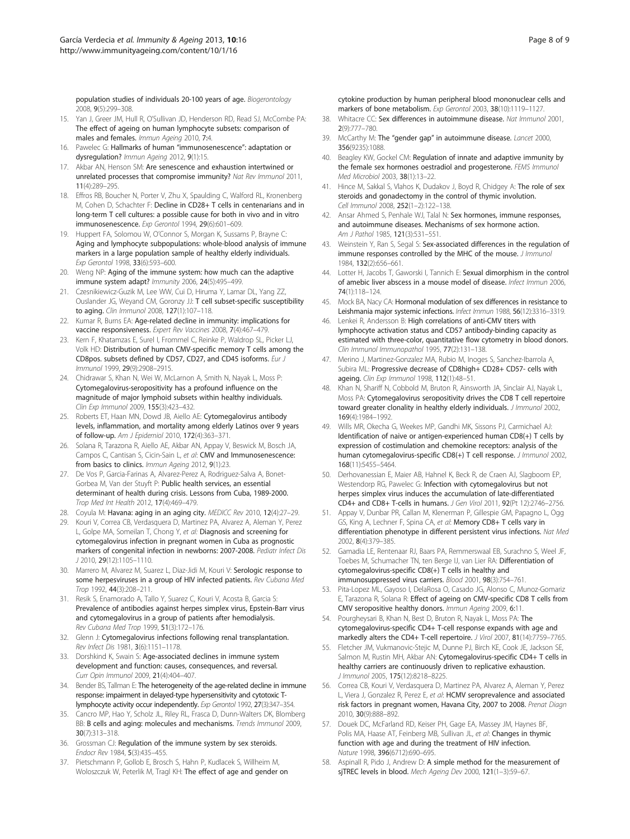<span id="page-7-0"></span>population studies of individuals 20-100 years of age. Biogerontology 2008, 9(5):299–308.

- 15. Yan J, Greer JM, Hull R, O'Sullivan JD, Henderson RD, Read SJ, McCombe PA: The effect of ageing on human lymphocyte subsets: comparison of males and females. Immun Ageing 2010, 7:4.
- 16. Pawelec G: Hallmarks of human "immunosenescence": adaptation or dysregulation? Immun Ageing 2012, 9(1):15.
- 17. Akbar AN, Henson SM: Are senescence and exhaustion intertwined or unrelated processes that compromise immunity? Nat Rev Immunol 2011, 11(4):289–295.
- 18. Effros RB, Boucher N, Porter V, Zhu X, Spaulding C, Walford RL, Kronenberg M, Cohen D, Schachter F: Decline in CD28+ T cells in centenarians and in long-term T cell cultures: a possible cause for both in vivo and in vitro immunosenescence. Exp Gerontol 1994, 29(6):601–609.
- 19. Huppert FA, Solomou W, O'Connor S, Morgan K, Sussams P, Brayne C: Aging and lymphocyte subpopulations: whole-blood analysis of immune markers in a large population sample of healthy elderly individuals. Exp Gerontol 1998, 33(6):593–600.
- 20. Weng NP: Aging of the immune system: how much can the adaptive immune system adapt? Immunity 2006, 24(5):495–499.
- 21. Czesnikiewicz-Guzik M, Lee WW, Cui D, Hiruma Y, Lamar DL, Yang ZZ, Ouslander JG, Weyand CM, Goronzy JJ: T cell subset-specific susceptibility to aging. Clin Immunol 2008, 127(1):107–118.
- 22. Kumar R, Burns EA: Age-related decline in immunity: implications for vaccine responsiveness. Expert Rev Vaccines 2008, 7(4):467–479.
- 23. Kern F, Khatamzas E, Surel I, Frommel C, Reinke P, Waldrop SL, Picker LJ, Volk HD: Distribution of human CMV-specific memory T cells among the CD8pos. subsets defined by CD57, CD27, and CD45 isoforms. Eur J Immunol 1999, 29(9):2908–2915.
- 24. Chidrawar S, Khan N, Wei W, McLarnon A, Smith N, Nayak L, Moss P: Cytomegalovirus-seropositivity has a profound influence on the magnitude of major lymphoid subsets within healthy individuals. Clin Exp Immunol 2009, 155(3):423–432.
- 25. Roberts ET, Haan MN, Dowd JB, Aiello AE: Cytomegalovirus antibody levels, inflammation, and mortality among elderly Latinos over 9 years of follow-up. Am J Epidemiol 2010, 172(4):363–371.
- 26. Solana R, Tarazona R, Aiello AE, Akbar AN, Appay V, Beswick M, Bosch JA, Campos C, Cantisan S, Cicin-Sain L, et al: CMV and Immunosenescence: from basics to clinics. Immun Ageing 2012, 9(1):23.
- 27. De Vos P, Garcia-Farinas A, Alvarez-Perez A, Rodriguez-Salva A, Bonet-Gorbea M, Van der Stuyft P: Public health services, an essential determinant of health during crisis. Lessons from Cuba, 1989-2000. Trop Med Int Health 2012, 17(4):469–479.
- 28. Coyula M: Havana: aging in an aging city. MEDICC Rev 2010, 12(4):27-29.
- 29. Kouri V, Correa CB, Verdasquera D, Martinez PA, Alvarez A, Aleman Y, Perez L, Golpe MA, Someilan T, Chong Y, et al: Diagnosis and screening for cytomegalovirus infection in pregnant women in Cuba as prognostic markers of congenital infection in newborns: 2007-2008. Pediatr Infect Dis J 2010, 29(12):1105–1110.
- 30. Marrero M, Alvarez M, Suarez L, Diaz-Jidi M, Kouri V: Serologic response to some herpesviruses in a group of HIV infected patients. Rev Cubana Med Trop 1992, 44(3):208–211.
- 31. Resik S, Enamorado A, Tallo Y, Suarez C, Kouri V, Acosta B, Garcia S: Prevalence of antibodies against herpes simplex virus, Epstein-Barr virus and cytomegalovirus in a group of patients after hemodialysis. Rev Cubana Med Trop 1999, 51(3):172–176.
- 32. Glenn J: Cytomegalovirus infections following renal transplantation. Rev Infect Dis 1981, 3(6):1151–1178.
- 33. Dorshkind K, Swain S: Age-associated declines in immune system development and function: causes, consequences, and reversal. Curr Opin Immunol 2009, 21(4):404–407.
- 34. Bender BS, Tallman E: The heterogeneity of the age-related decline in immune response: impairment in delayed-type hypersensitivity and cytotoxic Tlymphocyte activity occur independently. Exp Gerontol 1992, 27(3):347–354.
- 35. Cancro MP, Hao Y, Scholz JL, Riley RL, Frasca D, Dunn-Walters DK, Blomberg BB: B cells and aging: molecules and mechanisms. Trends Immunol 2009, 30(7):313–318.
- 36. Grossman CJ: Regulation of the immune system by sex steroids. Endocr Rev 1984, 5(3):435–455.
- 37. Pietschmann P, Gollob E, Brosch S, Hahn P, Kudlacek S, Willheim M, Woloszczuk W, Peterlik M, Tragl KH: The effect of age and gender on

cytokine production by human peripheral blood mononuclear cells and markers of bone metabolism. Exp Gerontol 2003, 38(10):1119-1127

- 38. Whitacre CC: Sex differences in autoimmune disease. Nat Immunol 2001, 2(9):777–780.
- 39. McCarthy M: The "gender gap" in autoimmune disease. Lancet 2000, 356(9235):1088.
- 40. Beagley KW, Gockel CM: Regulation of innate and adaptive immunity by the female sex hormones oestradiol and progesterone. FEMS Immunol Med Microbiol 2003, 38(1):13–22.
- 41. Hince M, Sakkal S, Vlahos K, Dudakov J, Boyd R, Chidgey A: The role of sex steroids and gonadectomy in the control of thymic involution. Cell Immunol 2008, 252(1–2):122–138.
- 42. Ansar Ahmed S, Penhale WJ, Talal N: Sex hormones, immune responses, and autoimmune diseases. Mechanisms of sex hormone action. Am J Pathol 1985, 121(3):531-551.
- 43. Weinstein Y, Ran S, Segal S; Sex-associated differences in the regulation of immune responses controlled by the MHC of the mouse. J Immunol 1984, 132(2):656–661.
- 44. Lotter H, Jacobs T, Gaworski I, Tannich E: Sexual dimorphism in the control of amebic liver abscess in a mouse model of disease. Infect Immun 2006, 74(1):118–124.
- Mock BA, Nacy CA: Hormonal modulation of sex differences in resistance to Leishmania major systemic infections. Infect Immun 1988, 56(12):3316–3319.
- 46. Lenkei R, Andersson B: High correlations of anti-CMV titers with lymphocyte activation status and CD57 antibody-binding capacity as estimated with three-color, quantitative flow cytometry in blood donors. Clin Immunol Immunopathol 1995, 77(2):131–138.
- 47. Merino J, Martinez-Gonzalez MA, Rubio M, Inoges S, Sanchez-Ibarrola A, Subira ML: Progressive decrease of CD8high+ CD28+ CD57- cells with ageing. Clin Exp Immunol 1998, 112(1):48–51.
- 48. Khan N, Shariff N, Cobbold M, Bruton R, Ainsworth JA, Sinclair AJ, Nayak L, Moss PA: Cytomegalovirus seropositivity drives the CD8 T cell repertoire toward greater clonality in healthy elderly individuals. J Immunol 2002, 169(4):1984–1992.
- 49. Wills MR, Okecha G, Weekes MP, Gandhi MK, Sissons PJ, Carmichael AJ: Identification of naive or antigen-experienced human CD8(+) T cells by expression of costimulation and chemokine receptors: analysis of the human cytomegalovirus-specific CD8(+) T cell response. J Immunol 2002, 168(11):5455–5464.
- 50. Derhovanessian E, Maier AB, Hahnel K, Beck R, de Craen AJ, Slagboom EP, Westendorp RG, Pawelec G: Infection with cytomegalovirus but not herpes simplex virus induces the accumulation of late-differentiated CD4+ and CD8+ T-cells in humans. J Gen Virol 2011, 92(Pt 12):2746–2756.
- 51. Appay V, Dunbar PR, Callan M, Klenerman P, Gillespie GM, Papagno L, Ogg GS, King A, Lechner F, Spina CA, et al: Memory CD8+ T cells vary in differentiation phenotype in different persistent virus infections. Nat Med 2002, 8(4):379–385.
- 52. Gamadia LE, Rentenaar RJ, Baars PA, Remmerswaal EB, Surachno S, Weel JF, Toebes M, Schumacher TN, ten Berge IJ, van Lier RA: Differentiation of cytomegalovirus-specific CD8(+) T cells in healthy and immunosuppressed virus carriers. Blood 2001, 98(3):754–761.
- 53. Pita-Lopez ML, Gayoso I, DelaRosa O, Casado JG, Alonso C, Munoz-Gomariz E, Tarazona R, Solana R: Effect of ageing on CMV-specific CD8 T cells from CMV seropositive healthy donors. Immun Ageing 2009, 6:11.
- 54. Pourgheysari B, Khan N, Best D, Bruton R, Nayak L, Moss PA: The cytomegalovirus-specific CD4+ T-cell response expands with age and markedly alters the CD4+ T-cell repertoire. J Virol 2007, 81(14):7759-7765.
- 55. Fletcher JM, Vukmanovic-Stejic M, Dunne PJ, Birch KE, Cook JE, Jackson SE, Salmon M, Rustin MH, Akbar AN: Cytomegalovirus-specific CD4+ T cells in healthy carriers are continuously driven to replicative exhaustion. J Immunol 2005, 175(12):8218–8225.
- 56. Correa CB, Kouri V, Verdasquera D, Martinez PA, Alvarez A, Aleman Y, Perez L, Viera J, Gonzalez R, Perez E, et al: HCMV seroprevalence and associated risk factors in pregnant women, Havana City, 2007 to 2008. Prenat Diagn 2010, 30(9):888–892.
- 57. Douek DC, McFarland RD, Keiser PH, Gage EA, Massey JM, Haynes BF, Polis MA, Haase AT, Feinberg MB, Sullivan JL, et al: Changes in thymic function with age and during the treatment of HIV infection. Nature 1998, 396(6712):690–695.
- 58. Aspinall R, Pido J, Andrew D: A simple method for the measurement of sjTREC levels in blood. Mech Ageing Dev 2000, 121(1-3):59-67.